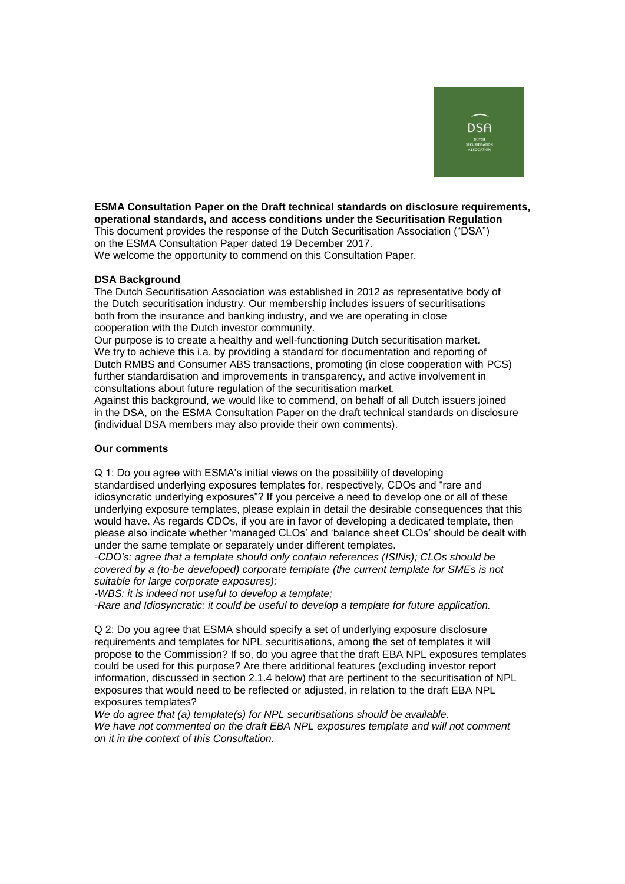

## **ESMA Consultation Paper on the Draft technical standards on disclosure requirements, operational standards, and access conditions under the Securitisation Regulation** This document provides the response of the Dutch Securitisation Association ("DSA") on the ESMA Consultation Paper dated 19 December 2017.

We welcome the opportunity to commend on this Consultation Paper.

## **DSA Background**

The Dutch Securitisation Association was established in 2012 as representative body of the Dutch securitisation industry. Our membership includes issuers of securitisations both from the insurance and banking industry, and we are operating in close cooperation with the Dutch investor community.

Our purpose is to create a healthy and well-functioning Dutch securitisation market. We try to achieve this i.a. by providing a standard for documentation and reporting of Dutch RMBS and Consumer ABS transactions, promoting (in close cooperation with PCS) further standardisation and improvements in transparency, and active involvement in consultations about future regulation of the securitisation market.

Against this background, we would like to commend, on behalf of all Dutch issuers joined in the DSA, on the ESMA Consultation Paper on the draft technical standards on disclosure (individual DSA members may also provide their own comments).

## **Our comments**

Q 1: Do you agree with ESMA's initial views on the possibility of developing standardised underlying exposures templates for, respectively, CDOs and "rare and idiosyncratic underlying exposures"? If you perceive a need to develop one or all of these underlying exposure templates, please explain in detail the desirable consequences that this would have. As regards CDOs, if you are in favor of developing a dedicated template, then please also indicate whether 'managed CLOs' and 'balance sheet CLOs' should be dealt with under the same template or separately under different templates.

*-CDO's: agree that a template should only contain references (ISINs); CLOs should be covered by a (to-be developed) corporate template (the current template for SMEs is not suitable for large corporate exposures);*

*-WBS: it is indeed not useful to develop a template;*

*-Rare and Idiosyncratic: it could be useful to develop a template for future application.*

Q 2: Do you agree that ESMA should specify a set of underlying exposure disclosure requirements and templates for NPL securitisations, among the set of templates it will propose to the Commission? If so, do you agree that the draft EBA NPL exposures templates could be used for this purpose? Are there additional features (excluding investor report information, discussed in section 2.1.4 below) that are pertinent to the securitisation of NPL exposures that would need to be reflected or adjusted, in relation to the draft EBA NPL exposures templates?

*We do agree that (a) template(s) for NPL securitisations should be available. We have not commented on the draft EBA NPL exposures template and will not comment on it in the context of this Consultation.*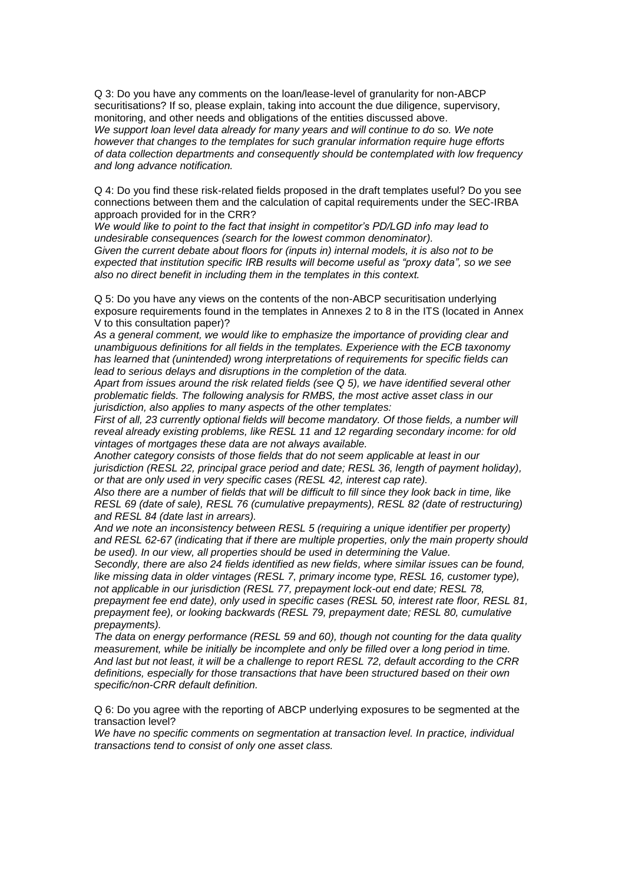Q 3: Do you have any comments on the loan/lease-level of granularity for non-ABCP securitisations? If so, please explain, taking into account the due diligence, supervisory, monitoring, and other needs and obligations of the entities discussed above. *We support loan level data already for many years and will continue to do so. We note however that changes to the templates for such granular information require huge efforts of data collection departments and consequently should be contemplated with low frequency and long advance notification.*

Q 4: Do you find these risk-related fields proposed in the draft templates useful? Do you see connections between them and the calculation of capital requirements under the SEC-IRBA approach provided for in the CRR?

*We would like to point to the fact that insight in competitor's PD/LGD info may lead to undesirable consequences (search for the lowest common denominator).*

*Given the current debate about floors for (inputs in) internal models, it is also not to be expected that institution specific IRB results will become useful as "proxy data", so we see also no direct benefit in including them in the templates in this context.*

Q 5: Do you have any views on the contents of the non-ABCP securitisation underlying exposure requirements found in the templates in Annexes 2 to 8 in the ITS (located in Annex V to this consultation paper)?

*As a general comment, we would like to emphasize the importance of providing clear and unambiguous definitions for all fields in the templates. Experience with the ECB taxonomy has learned that (unintended) wrong interpretations of requirements for specific fields can lead to serious delays and disruptions in the completion of the data.*

*Apart from issues around the risk related fields (see Q 5), we have identified several other problematic fields. The following analysis for RMBS, the most active asset class in our jurisdiction, also applies to many aspects of the other templates:*

*First of all, 23 currently optional fields will become mandatory. Of those fields, a number will reveal already existing problems, like RESL 11 and 12 regarding secondary income: for old vintages of mortgages these data are not always available.*

*Another category consists of those fields that do not seem applicable at least in our jurisdiction (RESL 22, principal grace period and date; RESL 36, length of payment holiday), or that are only used in very specific cases (RESL 42, interest cap rate).*

*Also there are a number of fields that will be difficult to fill since they look back in time, like RESL 69 (date of sale), RESL 76 (cumulative prepayments), RESL 82 (date of restructuring) and RESL 84 (date last in arrears).*

*And we note an inconsistency between RESL 5 (requiring a unique identifier per property) and RESL 62-67 (indicating that if there are multiple properties, only the main property should be used). In our view, all properties should be used in determining the Value.*

*Secondly, there are also 24 fields identified as new fields, where similar issues can be found, like missing data in older vintages (RESL 7, primary income type, RESL 16, customer type), not applicable in our jurisdiction (RESL 77, prepayment lock-out end date; RESL 78,* 

*prepayment fee end date), only used in specific cases (RESL 50, interest rate floor, RESL 81, prepayment fee), or looking backwards (RESL 79, prepayment date; RESL 80, cumulative prepayments).*

*The data on energy performance (RESL 59 and 60), though not counting for the data quality measurement, while be initially be incomplete and only be filled over a long period in time. And last but not least, it will be a challenge to report RESL 72, default according to the CRR definitions, especially for those transactions that have been structured based on their own specific/non-CRR default definition.*

Q 6: Do you agree with the reporting of ABCP underlying exposures to be segmented at the transaction level?

*We have no specific comments on segmentation at transaction level. In practice, individual transactions tend to consist of only one asset class.*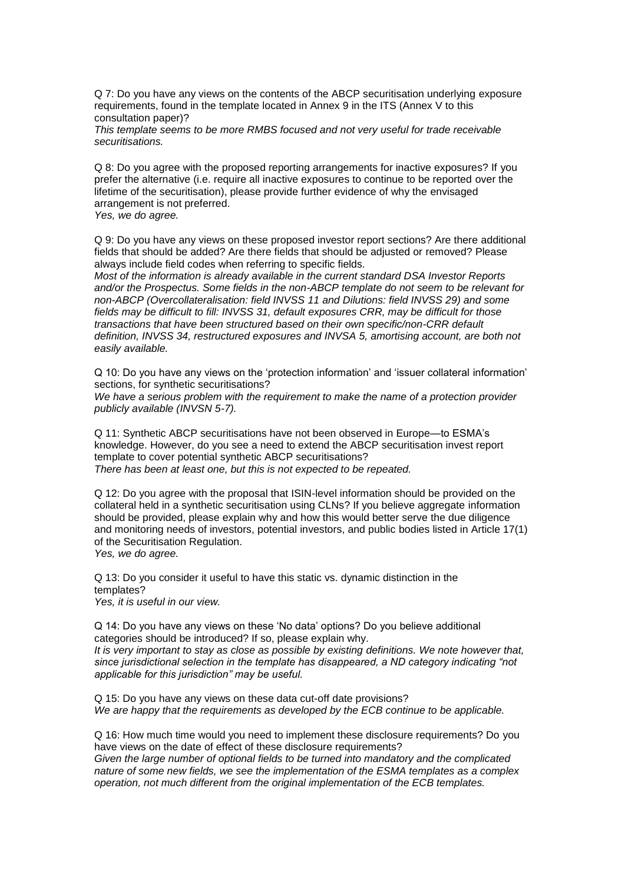Q 7: Do you have any views on the contents of the ABCP securitisation underlying exposure requirements, found in the template located in Annex 9 in the ITS (Annex V to this consultation paper)?

*This template seems to be more RMBS focused and not very useful for trade receivable securitisations.*

Q 8: Do you agree with the proposed reporting arrangements for inactive exposures? If you prefer the alternative (i.e. require all inactive exposures to continue to be reported over the lifetime of the securitisation), please provide further evidence of why the envisaged arrangement is not preferred.

*Yes, we do agree.*

Q 9: Do you have any views on these proposed investor report sections? Are there additional fields that should be added? Are there fields that should be adjusted or removed? Please always include field codes when referring to specific fields.

*Most of the information is already available in the current standard DSA Investor Reports and/or the Prospectus. Some fields in the non-ABCP template do not seem to be relevant for non-ABCP (Overcollateralisation: field INVSS 11 and Dilutions: field INVSS 29) and some fields may be difficult to fill: INVSS 31, default exposures CRR, may be difficult for those transactions that have been structured based on their own specific/non-CRR default definition, INVSS 34, restructured exposures and INVSA 5, amortising account, are both not easily available.*

Q 10: Do you have any views on the 'protection information' and 'issuer collateral information' sections, for synthetic securitisations?

*We have a serious problem with the requirement to make the name of a protection provider publicly available (INVSN 5-7).*

Q 11: Synthetic ABCP securitisations have not been observed in Europe—to ESMA's knowledge. However, do you see a need to extend the ABCP securitisation invest report template to cover potential synthetic ABCP securitisations? *There has been at least one, but this is not expected to be repeated.*

Q 12: Do you agree with the proposal that ISIN-level information should be provided on the collateral held in a synthetic securitisation using CLNs? If you believe aggregate information should be provided, please explain why and how this would better serve the due diligence and monitoring needs of investors, potential investors, and public bodies listed in Article 17(1) of the Securitisation Regulation.

*Yes, we do agree.*

Q 13: Do you consider it useful to have this static vs. dynamic distinction in the templates? *Yes, it is useful in our view.*

Q 14: Do you have any views on these 'No data' options? Do you believe additional categories should be introduced? If so, please explain why.

*It is very important to stay as close as possible by existing definitions. We note however that, since jurisdictional selection in the template has disappeared, a ND category indicating "not applicable for this jurisdiction" may be useful.* 

Q 15: Do you have any views on these data cut-off date provisions? *We are happy that the requirements as developed by the ECB continue to be applicable.*

Q 16: How much time would you need to implement these disclosure requirements? Do you have views on the date of effect of these disclosure requirements? *Given the large number of optional fields to be turned into mandatory and the complicated nature of some new fields, we see the implementation of the ESMA templates as a complex operation, not much different from the original implementation of the ECB templates.*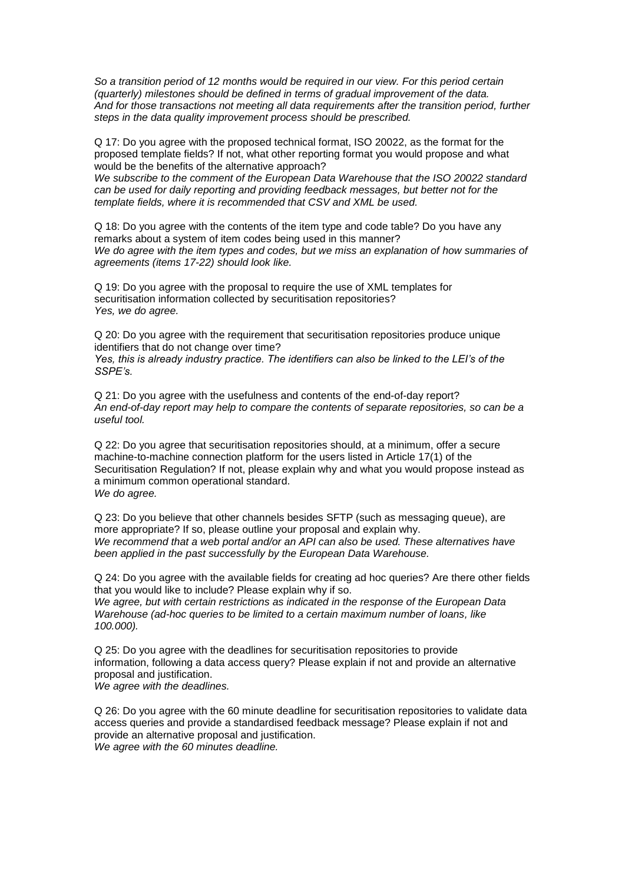*So a transition period of 12 months would be required in our view. For this period certain (quarterly) milestones should be defined in terms of gradual improvement of the data. And for those transactions not meeting all data requirements after the transition period, further steps in the data quality improvement process should be prescribed.* 

Q 17: Do you agree with the proposed technical format, ISO 20022, as the format for the proposed template fields? If not, what other reporting format you would propose and what would be the benefits of the alternative approach?

*We subscribe to the comment of the European Data Warehouse that the ISO 20022 standard can be used for daily reporting and providing feedback messages, but better not for the template fields, where it is recommended that CSV and XML be used.* 

Q 18: Do you agree with the contents of the item type and code table? Do you have any remarks about a system of item codes being used in this manner? *We do agree with the item types and codes, but we miss an explanation of how summaries of agreements (items 17-22) should look like.*

Q 19: Do you agree with the proposal to require the use of XML templates for securitisation information collected by securitisation repositories? *Yes, we do agree.*

Q 20: Do you agree with the requirement that securitisation repositories produce unique identifiers that do not change over time?

*Yes, this is already industry practice. The identifiers can also be linked to the LEI's of the SSPE's.*

Q 21: Do you agree with the usefulness and contents of the end-of-day report? *An end-of-day report may help to compare the contents of separate repositories, so can be a useful tool.*

Q 22: Do you agree that securitisation repositories should, at a minimum, offer a secure machine-to-machine connection platform for the users listed in Article 17(1) of the Securitisation Regulation? If not, please explain why and what you would propose instead as a minimum common operational standard. *We do agree.*

Q 23: Do you believe that other channels besides SFTP (such as messaging queue), are more appropriate? If so, please outline your proposal and explain why. *We recommend that a web portal and/or an API can also be used. These alternatives have been applied in the past successfully by the European Data Warehouse.*

Q 24: Do you agree with the available fields for creating ad hoc queries? Are there other fields that you would like to include? Please explain why if so.

*We agree, but with certain restrictions as indicated in the response of the European Data Warehouse (ad-hoc queries to be limited to a certain maximum number of loans, like 100.000).*

Q 25: Do you agree with the deadlines for securitisation repositories to provide information, following a data access query? Please explain if not and provide an alternative proposal and justification. *We agree with the deadlines.*

Q 26: Do you agree with the 60 minute deadline for securitisation repositories to validate data access queries and provide a standardised feedback message? Please explain if not and provide an alternative proposal and justification. *We agree with the 60 minutes deadline.*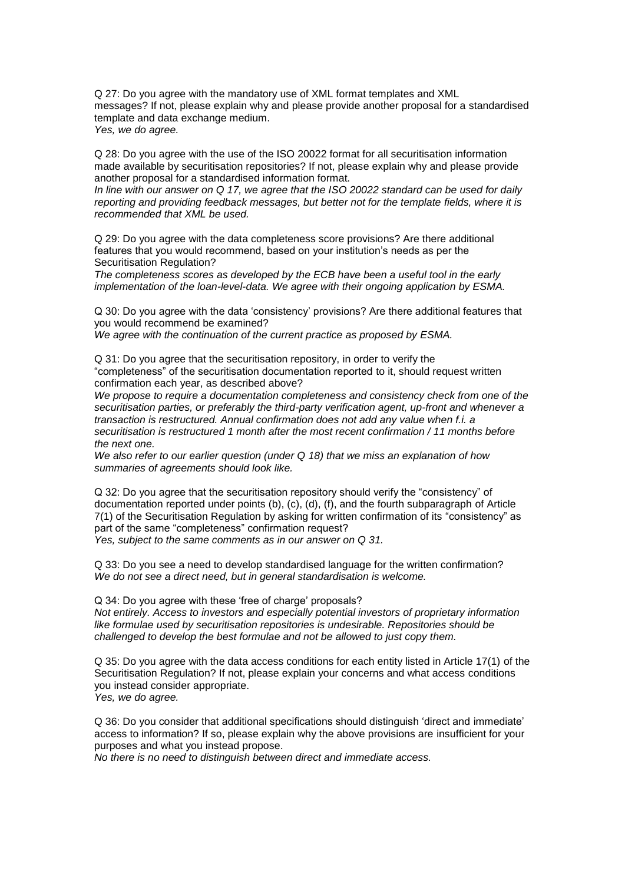Q 27: Do you agree with the mandatory use of XML format templates and XML messages? If not, please explain why and please provide another proposal for a standardised template and data exchange medium. *Yes, we do agree.*

Q 28: Do you agree with the use of the ISO 20022 format for all securitisation information made available by securitisation repositories? If not, please explain why and please provide another proposal for a standardised information format.

*In line with our answer on Q 17, we agree that the ISO 20022 standard can be used for daily reporting and providing feedback messages, but better not for the template fields, where it is recommended that XML be used.* 

Q 29: Do you agree with the data completeness score provisions? Are there additional features that you would recommend, based on your institution's needs as per the Securitisation Regulation?

*The completeness scores as developed by the ECB have been a useful tool in the early implementation of the loan-level-data. We agree with their ongoing application by ESMA.*

Q 30: Do you agree with the data 'consistency' provisions? Are there additional features that you would recommend be examined? *We agree with the continuation of the current practice as proposed by ESMA.*

Q 31: Do you agree that the securitisation repository, in order to verify the "completeness" of the securitisation documentation reported to it, should request written confirmation each year, as described above?

*We propose to require a documentation completeness and consistency check from one of the securitisation parties, or preferably the third-party verification agent, up-front and whenever a transaction is restructured. Annual confirmation does not add any value when f.i. a securitisation is restructured 1 month after the most recent confirmation / 11 months before the next one.*

*We also refer to our earlier question (under Q 18) that we miss an explanation of how summaries of agreements should look like.* 

Q 32: Do you agree that the securitisation repository should verify the "consistency" of documentation reported under points (b), (c), (d), (f), and the fourth subparagraph of Article 7(1) of the Securitisation Regulation by asking for written confirmation of its "consistency" as part of the same "completeness" confirmation request?

*Yes, subject to the same comments as in our answer on Q 31.*

Q 33: Do you see a need to develop standardised language for the written confirmation? *We do not see a direct need, but in general standardisation is welcome.*

Q 34: Do you agree with these 'free of charge' proposals?

*Not entirely. Access to investors and especially potential investors of proprietary information like formulae used by securitisation repositories is undesirable. Repositories should be challenged to develop the best formulae and not be allowed to just copy them.*

Q 35: Do you agree with the data access conditions for each entity listed in Article 17(1) of the Securitisation Regulation? If not, please explain your concerns and what access conditions you instead consider appropriate. *Yes, we do agree.*

Q 36: Do you consider that additional specifications should distinguish 'direct and immediate' access to information? If so, please explain why the above provisions are insufficient for your purposes and what you instead propose.

*No there is no need to distinguish between direct and immediate access.*